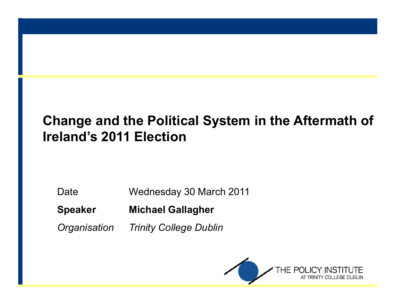#### **Change and the Political System in the Aftermath ofIreland's 2011 Election**

Date Wednesday 30 March 2011

**Speaker Michael Gallagher**

*Organisation Trinity College Dublin*

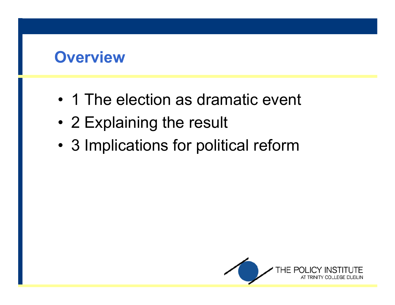#### **Overview**

- 1 The election as dramatic event
- 2 Explaining the result
- •3 Implications for political reform

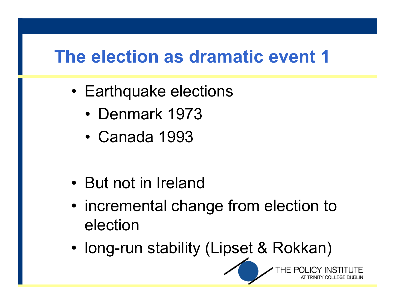- Earthquake elections
	- Denmark 1973
	- •Canada 1993
- But not in Ireland
- • incremental change from election to election
- •long-run stability (Lipset & Rokkan)

HE POL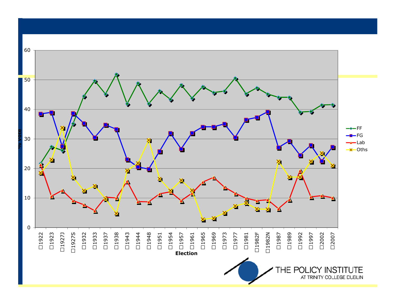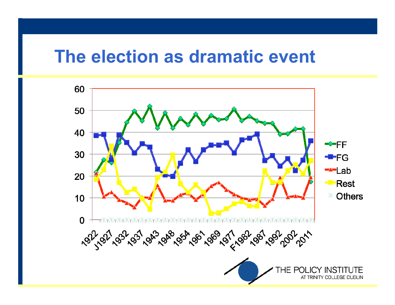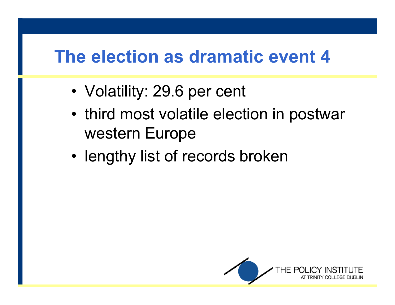- Volatility: 29.6 per cent
- third most volatile election in postwar western Europe
- •• lengthy list of records broken

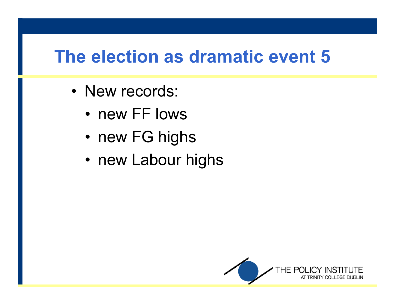- New records:<br>——
	- new FF lows
	- •new FG highs
	- new Labour highs

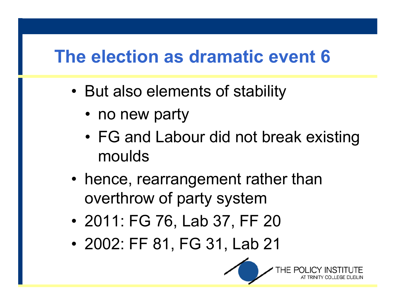- • But also elements of stability
	- no new party
	- •FG and Labour did not break existing moulds
- hence, rearrangement rather than overthrow of party system
- 2011 FG 76 Tah 37 FF 2011: FG 76, Lab 37, FF 20
- •2002: FF 81, FG 31, Lab 21

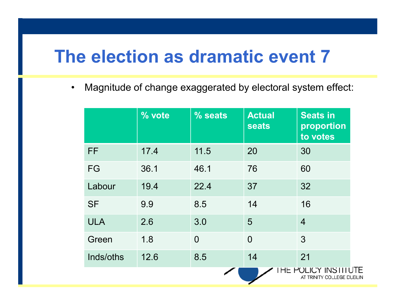$\bullet$ Magnitude of change exaggerated by electoral system effect:

|            | % vote | % seats        | <b>Actual</b><br><b>seats</b> | <b>Seats in</b><br>proportion<br>to votes     |
|------------|--------|----------------|-------------------------------|-----------------------------------------------|
| <b>FF</b>  | 17.4   | 11.5           | 20                            | 30                                            |
| FG         | 36.1   | 46.1           | 76                            | 60                                            |
| Labour     | 19.4   | 22.4           | 37                            | 32                                            |
| <b>SF</b>  | 9.9    | 8.5            | 14                            | 16                                            |
| <b>ULA</b> | 2.6    | 3.0            | 5                             | $\overline{4}$                                |
| Green      | 1.8    | $\overline{0}$ | $\overline{0}$                | 3                                             |
| Inds/oths  | 12.6   | 8.5            | 14                            | 21                                            |
|            |        |                |                               | HE POLICY INSTIT<br>AT TRINITY COLLEGE DUBLIN |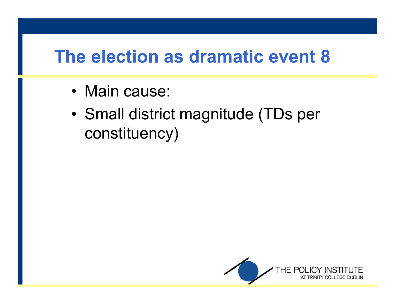- Main cause:
- • Small district magnitude (TDs per constituency)

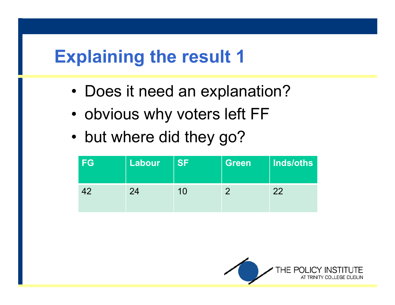### **Explaining the result 1**

- •Does it need an explanation?
- •obvious why voters left FF
- •but where did they go?

| <b>FG</b> | <b>Labour</b> | <b>SF</b> | <b>Green</b> | Inds/oths |
|-----------|---------------|-----------|--------------|-----------|
| 42        | 24            | 10        | 0            | 22        |

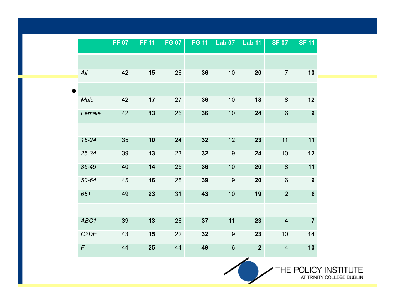|                   | <b>FF 07</b> | <b>FF 11</b> | <b>FG 07</b> | <b>FG 11</b> | <b>Lab 07</b>    | <b>Lab 11</b>  | <b>SF 07</b>     | <b>SF 11</b>     |
|-------------------|--------------|--------------|--------------|--------------|------------------|----------------|------------------|------------------|
|                   |              |              |              |              |                  |                |                  |                  |
| All               | 42           | 15           | 26           | 36           | 10               | 20             | $\overline{7}$   | 10               |
|                   |              |              |              |              |                  |                |                  |                  |
| Male              | 42           | 17           | 27           | 36           | 10               | 18             | $\boldsymbol{8}$ | 12               |
| Female            | 42           | 13           | 25           | 36           | 10               | 24             | $6\phantom{a}$   | $\boldsymbol{9}$ |
|                   |              |              |              |              |                  |                |                  |                  |
| 18-24             | 35           | 10           | 24           | 32           | 12               | 23             | 11               | 11               |
| $25 - 34$         | 39           | 13           | 23           | 32           | $\boldsymbol{9}$ | 24             | 10               | 12               |
| $35 - 49$         | 40           | 14           | 25           | 36           | 10               | 20             | $\bf 8$          | 11               |
| 50-64             | 45           | 16           | 28           | 39           | $9\,$            | 20             | $6\phantom{1}$   | $\boldsymbol{9}$ |
| $65+$             | 49           | 23           | 31           | 43           | 10               | 19             | $\overline{2}$   | $6\phantom{1}$   |
|                   |              |              |              |              |                  |                |                  |                  |
| ABC1              | 39           | 13           | 26           | 37           | 11               | 23             | $\overline{4}$   | $\overline{7}$   |
| C <sub>2</sub> DE | 43           | 15           | 22           | 32           | $9\,$            | 23             | 10               | 14               |
| $\digamma$        | 44           | 25           | 44           | 49           | $\, 6$           | $\overline{2}$ | $\overline{4}$   | 10               |

╱

THE POLICY INSTITUTE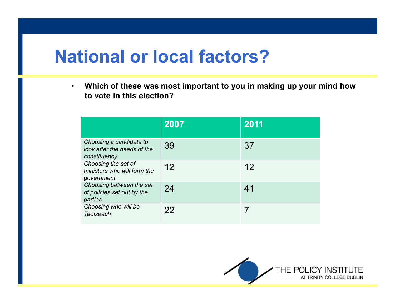## **National or local factors?**

• **Which of these was most important to you in making up your mind how to vote in this election?**

|                                                                        | 2007 | 2011 |
|------------------------------------------------------------------------|------|------|
| Choosing a candidate to<br>look after the needs of the<br>constituency | 39   | 37   |
| Choosing the set of<br>ministers who will form the<br>government       | 12   | 12   |
| Choosing between the set<br>of policies set out by the<br>parties      | 24   | 41   |
| Choosing who will be<br><b>Taoiseach</b>                               | 22   |      |

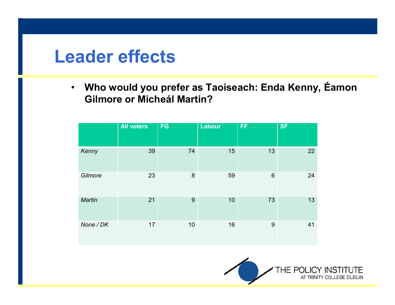### **Leader effects**

 $\bullet$  **Who would you prefer as Taoiseach: Enda Kenny, Éamon Gilmore or Micheál Martin?**

|           | <b>All voters</b> | <b>FG</b> | Labour | <b>FF</b>       | <b>SF</b> |
|-----------|-------------------|-----------|--------|-----------------|-----------|
| Kenny     | 39                | 74        | 15     | 13              | 22        |
| Gilmore   | 23                | 8         | 59     | $6\phantom{1}6$ | 24        |
| Martin    | 21                | 9         | 10     | 73              | 13        |
| None / DK | 17                | 10        | 16     | 9               | 41        |

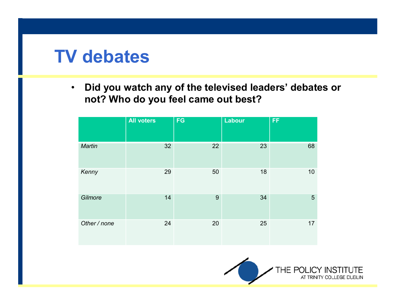### **TV debates**

 $\bullet$  **Did you watch any of the televised leaders' debates or not? Who do you feel came out best?**

|               | <b>All voters</b> | <b>FG</b> | Labour | <b>FF</b> |
|---------------|-------------------|-----------|--------|-----------|
| <b>Martin</b> | 32                | 22        | 23     | 68        |
| Kenny         | 29                | 50        | 18     | 10        |
| Gilmore       | 14                | 9         | 34     | 5         |
| Other / none  | 24                | 20        | 25     | 17        |

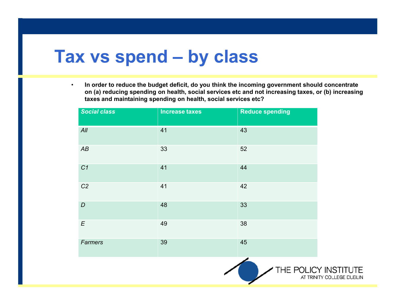# **Tax vs spend – by class**

• **In order to reduce the budget deficit, do you think the incoming government should concentrate on (a) reducing spending on health, social services etc and not increasing taxes, or (b) increasing taxes and maintaining spending on health, social services etc?**

| <b>Social class</b> | <b>Increase taxes</b> | <b>Reduce spending</b>                            |
|---------------------|-----------------------|---------------------------------------------------|
| All                 | 41                    | 43                                                |
| AB                  | 33                    | 52                                                |
| C <sub>1</sub>      | 41                    | 44                                                |
| C <sub>2</sub>      | 41                    | 42                                                |
| $\boldsymbol{D}$    | 48                    | 33                                                |
| $\boldsymbol{E}$    | 49                    | 38                                                |
| Farmers             | 39                    | 45                                                |
|                     |                       | THE POLICY INSTITUTE<br>AT TRINITY COLLEGE DUBLIN |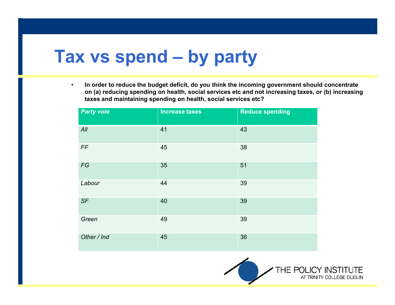# **Tax vs spend – by party**

• **In order to reduce the budget deficit, do you think the incoming government should concentrate on (a) reducing spending on health, social services etc and not increasing taxes, or (b) increasing taxes and maintaining spending on health, social services etc?**

| <b>Party vote</b> | <b>Increase taxes</b> | <b>Reduce spending</b> |
|-------------------|-----------------------|------------------------|
| All               | 41                    | 43                     |
| FF                | 45                    | 38                     |
| ${\mathcal F} G$  | 35                    | 51                     |
| Labour            | 44                    | 39                     |
| SF                | 40                    | 39                     |
| Green             | 49                    | 39                     |
| Other / Ind       | 45                    | 36                     |

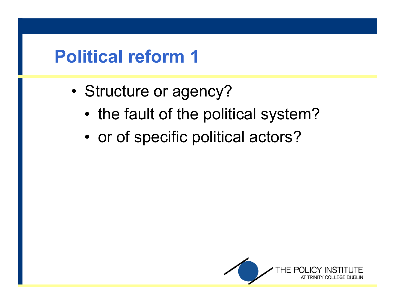## **Political reform 1**

- •Structure or agency?
	- •the fault of the political system?
	- •or of specific political actors?

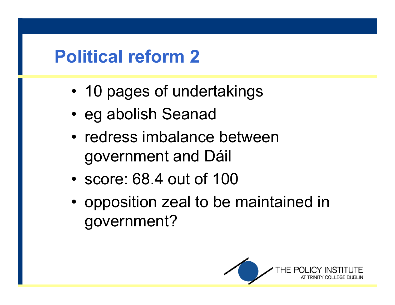# **Political reform 2**

- •10 pages of undertakings
- •eg abolish Seanad
- redress imbalance between government and Dáil
- •score: 68.4 out of 100
- opposition zeal to be maintained in government?